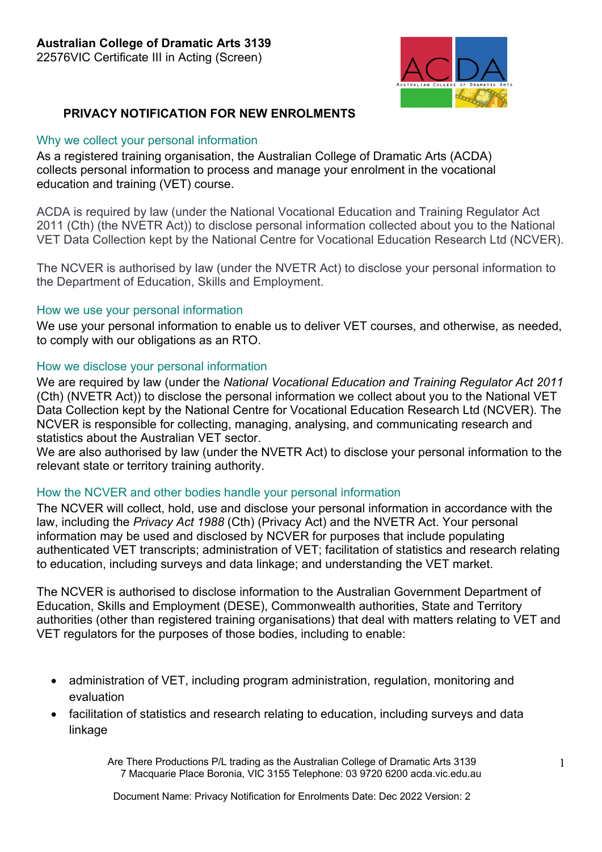

# **PRIVACY NOTIFICATION FOR NEW ENROLMENTS**

#### Why we collect your personal information

As a registered training organisation, the Australian College of Dramatic Arts (ACDA) collects personal information to process and manage your enrolment in the vocational education and training (VET) course.

ACDA is required by law (under the National Vocational Education and Training Regulator Act 2011 (Cth) (the NVETR Act)) to disclose personal information collected about you to the National VET Data Collection kept by the National Centre for Vocational Education Research Ltd (NCVER).

The NCVER is authorised by law (under the NVETR Act) to disclose your personal information to the Department of Education, Skills and Employment.

## How we use your personal information

We use your personal information to enable us to deliver VET courses, and otherwise, as needed, to comply with our obligations as an RTO.

## How we disclose your personal information

We are required by law (under the *National Vocational Education and Training Regulator Act 2011*  (Cth) (NVETR Act)) to disclose the personal information we collect about you to the National VET Data Collection kept by the National Centre for Vocational Education Research Ltd (NCVER). The NCVER is responsible for collecting, managing, analysing, and communicating research and statistics about the Australian VET sector.

We are also authorised by law (under the NVETR Act) to disclose your personal information to the relevant state or territory training authority.

## How the NCVER and other bodies handle your personal information

The NCVER will collect, hold, use and disclose your personal information in accordance with the law, including the *Privacy Act 1988* (Cth) (Privacy Act) and the NVETR Act. Your personal information may be used and disclosed by NCVER for purposes that include populating authenticated VET transcripts; administration of VET; facilitation of statistics and research relating to education, including surveys and data linkage; and understanding the VET market.

The NCVER is authorised to disclose information to the Australian Government Department of Education, Skills and Employment (DESE), Commonwealth authorities, State and Territory authorities (other than registered training organisations) that deal with matters relating to VET and VET regulators for the purposes of those bodies, including to enable:

- administration of VET, including program administration, regulation, monitoring and evaluation
- facilitation of statistics and research relating to education, including surveys and data linkage

Are There Productions P/L trading as the Australian College of Dramatic Arts 3139 7 Macquarie Place Boronia, VIC 3155 Telephone: 03 9720 6200 acda.vic.edu.au

Document Name: Privacy Notification for Enrolments Date: Dec 2022 Version: 2